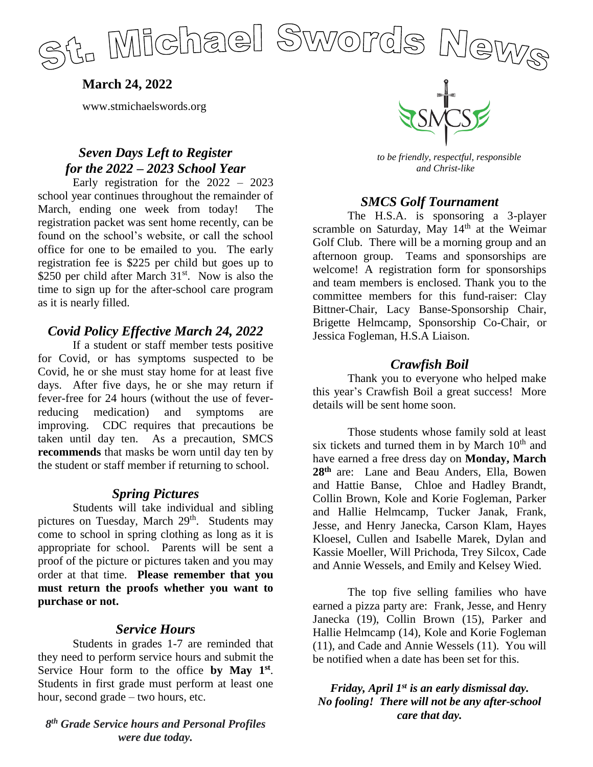

**March 24, 2022**

www.stmichaelswords.org

# *Seven Days Left to Register for the 2022 – 2023 School Year*

Early registration for the 2022 – 2023 school year continues throughout the remainder of March, ending one week from today! The registration packet was sent home recently, can be found on the school's website, or call the school office for one to be emailed to you. The early registration fee is \$225 per child but goes up to \$250 per child after March  $31<sup>st</sup>$ . Now is also the time to sign up for the after-school care program as it is nearly filled.

## *Covid Policy Effective March 24, 2022*

If a student or staff member tests positive for Covid, or has symptoms suspected to be Covid, he or she must stay home for at least five days. After five days, he or she may return if fever-free for 24 hours (without the use of feverreducing medication) and symptoms are improving. CDC requires that precautions be taken until day ten. As a precaution, SMCS **recommends** that masks be worn until day ten by the student or staff member if returning to school.

#### *Spring Pictures*

Students will take individual and sibling pictures on Tuesday, March 29<sup>th</sup>. Students may come to school in spring clothing as long as it is appropriate for school. Parents will be sent a proof of the picture or pictures taken and you may order at that time. **Please remember that you must return the proofs whether you want to purchase or not.**

#### *Service Hours*

Students in grades 1-7 are reminded that they need to perform service hours and submit the Service Hour form to the office **by May 1st** . Students in first grade must perform at least one hour, second grade – two hours, etc.

#### *8 th Grade Service hours and Personal Profiles were due today.*



 *to be friendly, respectful, responsible and Christ-like*

## *SMCS Golf Tournament*

The H.S.A. is sponsoring a 3-player scramble on Saturday, May 14<sup>th</sup> at the Weimar Golf Club. There will be a morning group and an afternoon group. Teams and sponsorships are welcome! A registration form for sponsorships and team members is enclosed. Thank you to the committee members for this fund-raiser: Clay Bittner-Chair, Lacy Banse-Sponsorship Chair, Brigette Helmcamp, Sponsorship Co-Chair, or Jessica Fogleman, H.S.A Liaison.

## *Crawfish Boil*

Thank you to everyone who helped make this year's Crawfish Boil a great success! More details will be sent home soon.

Those students whose family sold at least six tickets and turned them in by March  $10<sup>th</sup>$  and have earned a free dress day on **Monday, March 28th** are: Lane and Beau Anders, Ella, Bowen and Hattie Banse, Chloe and Hadley Brandt, Collin Brown, Kole and Korie Fogleman, Parker and Hallie Helmcamp, Tucker Janak, Frank, Jesse, and Henry Janecka, Carson Klam, Hayes Kloesel, Cullen and Isabelle Marek, Dylan and Kassie Moeller, Will Prichoda, Trey Silcox, Cade and Annie Wessels, and Emily and Kelsey Wied.

The top five selling families who have earned a pizza party are: Frank, Jesse, and Henry Janecka (19), Collin Brown (15), Parker and Hallie Helmcamp (14), Kole and Korie Fogleman (11), and Cade and Annie Wessels (11). You will be notified when a date has been set for this.

## *Friday, April 1st is an early dismissal day. No fooling! There will not be any after-school care that day.*